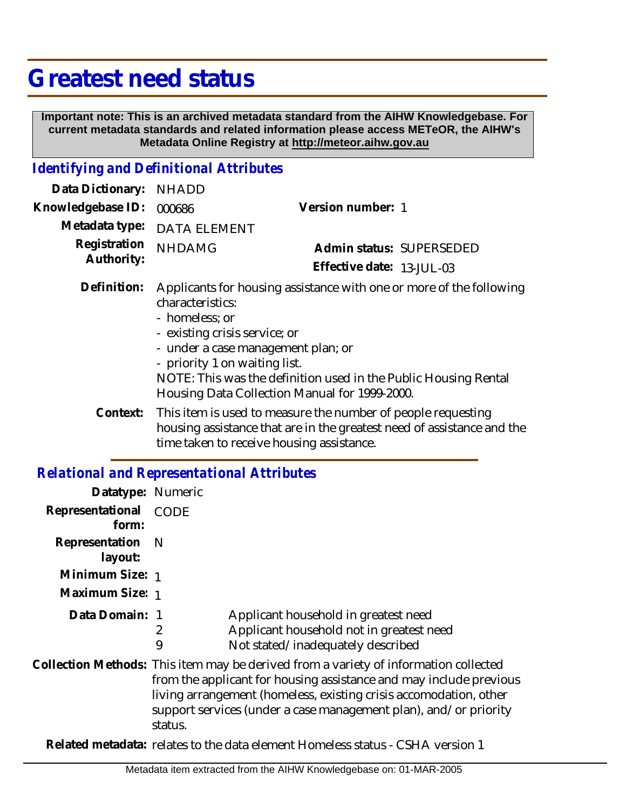## **Greatest need status**

 **Important note: This is an archived metadata standard from the AIHW Knowledgebase. For current metadata standards and related information please access METeOR, the AIHW's Metadata Online Registry at http://meteor.aihw.gov.au**

## *Identifying and Definitional Attributes*

| Data Dictionary:                             | <b>NHADD</b>                                                                                                                                                                                                                                                                                                                          |                           |
|----------------------------------------------|---------------------------------------------------------------------------------------------------------------------------------------------------------------------------------------------------------------------------------------------------------------------------------------------------------------------------------------|---------------------------|
| Knowledgebase ID:                            | 000686                                                                                                                                                                                                                                                                                                                                | Version number: 1         |
| Metadata type:<br>Registration<br>Authority: | <b>DATA ELEMENT</b>                                                                                                                                                                                                                                                                                                                   |                           |
|                                              | <b>NHDAMG</b>                                                                                                                                                                                                                                                                                                                         | Admin status: SUPERSEDED  |
|                                              |                                                                                                                                                                                                                                                                                                                                       | Effective date: 13-JUL-03 |
| Definition:                                  | Applicants for housing assistance with one or more of the following<br>characteristics:<br>- homeless; or<br>- existing crisis service; or<br>- under a case management plan; or<br>- priority 1 on waiting list.<br>NOTE: This was the definition used in the Public Housing Rental<br>Housing Data Collection Manual for 1999-2000. |                           |
|                                              |                                                                                                                                                                                                                                                                                                                                       |                           |

Context: This item is used to measure the number of people requesting housing assistance that are in the greatest need of assistance and the time taken to receive housing assistance.

## *Relational and Representational Attributes*

| Datatype: Numeric         |                                                                                                                                                                                                                                                                                                                |  |
|---------------------------|----------------------------------------------------------------------------------------------------------------------------------------------------------------------------------------------------------------------------------------------------------------------------------------------------------------|--|
| Representational<br>form: | CODE                                                                                                                                                                                                                                                                                                           |  |
| Representation<br>layout: | - N                                                                                                                                                                                                                                                                                                            |  |
| Minimum Size: 1           |                                                                                                                                                                                                                                                                                                                |  |
| Maximum Size: 1           |                                                                                                                                                                                                                                                                                                                |  |
| Data Domain: 1            | Applicant household in greatest need<br>Applicant household not in greatest need<br>2<br>9<br>Not stated/inadequately described                                                                                                                                                                                |  |
|                           | Collection Methods: This item may be derived from a variety of information collected<br>from the applicant for housing assistance and may include previous<br>living arrangement (homeless, existing crisis accomodation, other<br>support services (under a case management plan), and/or priority<br>status. |  |
|                           | Related metadata: relates to the data element Homeless status - CSHA version 1                                                                                                                                                                                                                                 |  |